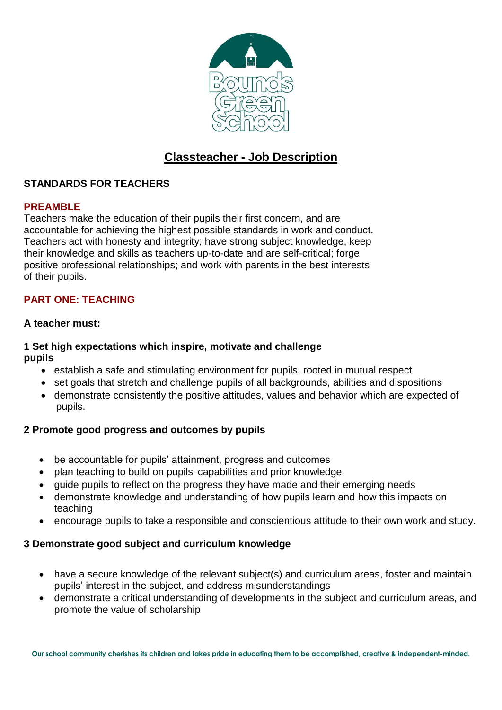

# **Classteacher - Job Description**

# **STANDARDS FOR TEACHERS**

## **PREAMBLE**

Teachers make the education of their pupils their first concern, and are accountable for achieving the highest possible standards in work and conduct. Teachers act with honesty and integrity; have strong subject knowledge, keep their knowledge and skills as teachers up-to-date and are self-critical; forge positive professional relationships; and work with parents in the best interests of their pupils.

## **PART ONE: TEACHING**

#### **A teacher must:**

#### **1 Set high expectations which inspire, motivate and challenge pupils**

- establish a safe and stimulating environment for pupils, rooted in mutual respect
- set goals that stretch and challenge pupils of all backgrounds, abilities and dispositions
- demonstrate consistently the positive attitudes, values and behavior which are expected of pupils.

#### **2 Promote good progress and outcomes by pupils**

- be accountable for pupils' attainment, progress and outcomes
- plan teaching to build on pupils' capabilities and prior knowledge
- guide pupils to reflect on the progress they have made and their emerging needs
- demonstrate knowledge and understanding of how pupils learn and how this impacts on teaching
- encourage pupils to take a responsible and conscientious attitude to their own work and study.

#### **3 Demonstrate good subject and curriculum knowledge**

- have a secure knowledge of the relevant subject(s) and curriculum areas, foster and maintain pupils' interest in the subject, and address misunderstandings
- demonstrate a critical understanding of developments in the subject and curriculum areas, and promote the value of scholarship

**Our school community cherishes its children and takes pride in educating them to be accomplished, creative & independent-minded.**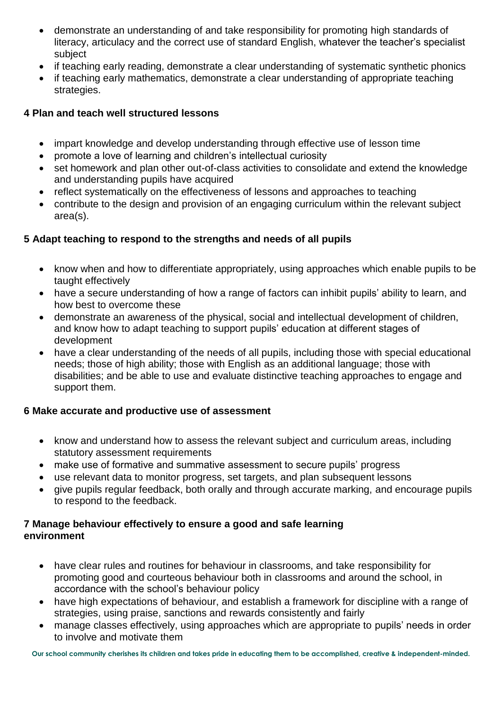- demonstrate an understanding of and take responsibility for promoting high standards of literacy, articulacy and the correct use of standard English, whatever the teacher's specialist subject
- if teaching early reading, demonstrate a clear understanding of systematic synthetic phonics
- if teaching early mathematics, demonstrate a clear understanding of appropriate teaching strategies.

### **4 Plan and teach well structured lessons**

- impart knowledge and develop understanding through effective use of lesson time
- promote a love of learning and children's intellectual curiosity
- set homework and plan other out-of-class activities to consolidate and extend the knowledge and understanding pupils have acquired
- reflect systematically on the effectiveness of lessons and approaches to teaching
- contribute to the design and provision of an engaging curriculum within the relevant subject area(s).

# **5 Adapt teaching to respond to the strengths and needs of all pupils**

- know when and how to differentiate appropriately, using approaches which enable pupils to be taught effectively
- have a secure understanding of how a range of factors can inhibit pupils' ability to learn, and how best to overcome these
- demonstrate an awareness of the physical, social and intellectual development of children, and know how to adapt teaching to support pupils' education at different stages of development
- have a clear understanding of the needs of all pupils, including those with special educational needs; those of high ability; those with English as an additional language; those with disabilities; and be able to use and evaluate distinctive teaching approaches to engage and support them.

# **6 Make accurate and productive use of assessment**

- know and understand how to assess the relevant subject and curriculum areas, including statutory assessment requirements
- make use of formative and summative assessment to secure pupils' progress
- use relevant data to monitor progress, set targets, and plan subsequent lessons
- give pupils regular feedback, both orally and through accurate marking, and encourage pupils to respond to the feedback.

#### **7 Manage behaviour effectively to ensure a good and safe learning environment**

- have clear rules and routines for behaviour in classrooms, and take responsibility for promoting good and courteous behaviour both in classrooms and around the school, in accordance with the school's behaviour policy
- have high expectations of behaviour, and establish a framework for discipline with a range of strategies, using praise, sanctions and rewards consistently and fairly
- manage classes effectively, using approaches which are appropriate to pupils' needs in order to involve and motivate them

**Our school community cherishes its children and takes pride in educating them to be accomplished, creative & independent-minded.**